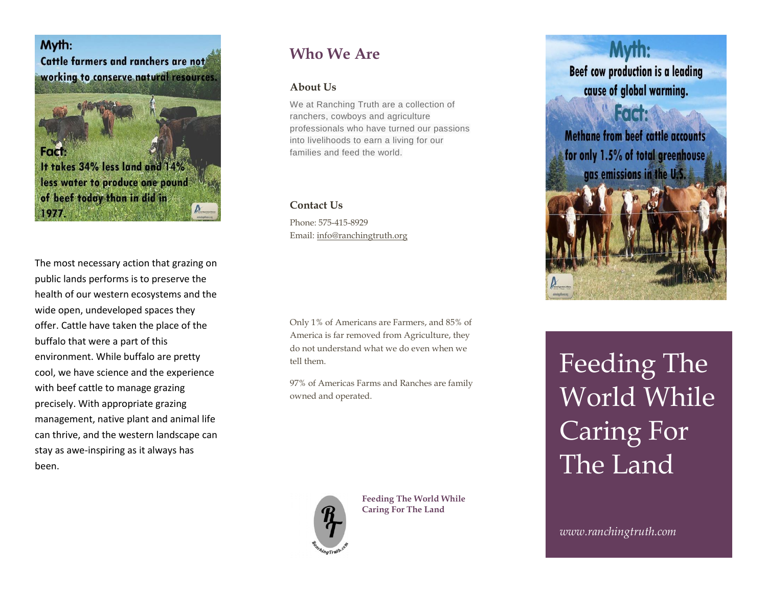Myth: Cattle farmers and ranchers are not working to conserve natural resources.

**Fact:** It takes 34% less land and 14% less water to produce one pound of beef today than in did in 1977.

The most necessary action that grazing on public lands performs is to preserve the health of our western ecosystems and the wide open, undeveloped spaces they offer. Cattle have taken the place of the buffalo that were a part of this environment. While buffalo are pretty cool, we have science and the experience with beef cattle to manage grazing precisely. With appropriate grazing management, native plant and animal life can thrive, and the western landscape can stay as awe-inspiring as it always has been.

# **Who We Are**

## **About Us**

We at Ranching Truth are a collection of ranchers, cowboys and agriculture professionals who have turned our passions into livelihoods to earn a living for our families and feed the world.

### **Contact Us**

Phone: 575-415-8929 Email: [info@ranchingtruth.org](mailto:info@ranchingtruth.org)

Only 1% of Americans are Farmers, and 85% of America is far removed from Agriculture, they do not understand what we do even when we tell them.

97% of Americas Farms and Ranches are family owned and operated.



**Feeding The World While Caring For The Land**



Feeding The World While Caring For The Land

*www.ranchingtruth.com*